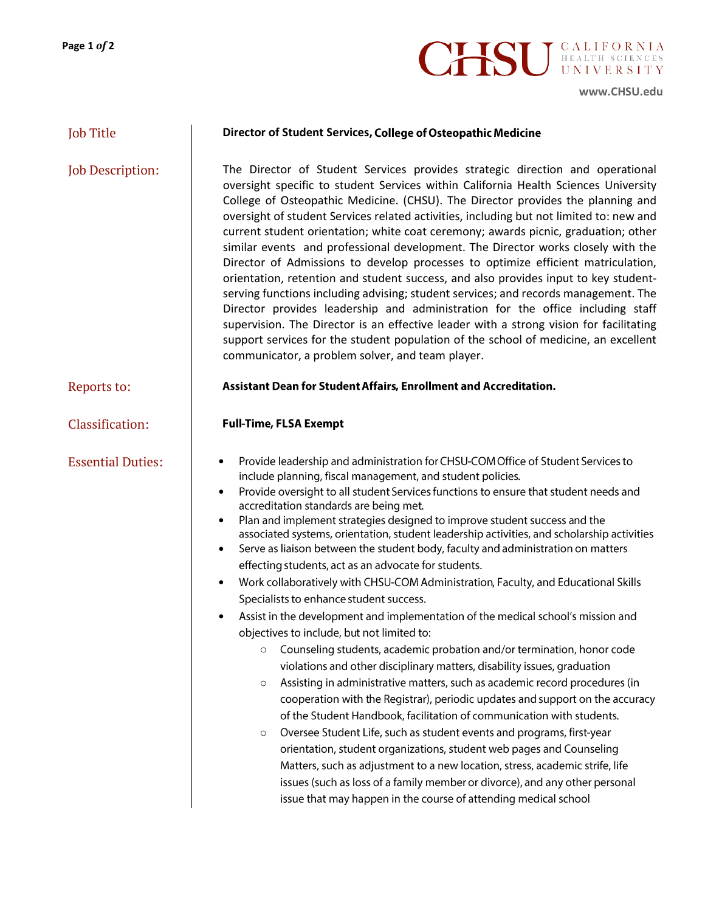

**[www.CHSU.edu](http://www.chsu.edu/)**

| <b>Job Title</b>         | Director of Student Services, College of Osteopathic Medicine                                                                                                                                                                                                                                                                                                                                                                                                                                                                                                                                                                                                                                                                                                                                                                                                                                                                                                                                                                                                                                                                                                                                                                                                                                                                                                                                                                                                                                                                                                                                                                                                                                                                                                               |  |
|--------------------------|-----------------------------------------------------------------------------------------------------------------------------------------------------------------------------------------------------------------------------------------------------------------------------------------------------------------------------------------------------------------------------------------------------------------------------------------------------------------------------------------------------------------------------------------------------------------------------------------------------------------------------------------------------------------------------------------------------------------------------------------------------------------------------------------------------------------------------------------------------------------------------------------------------------------------------------------------------------------------------------------------------------------------------------------------------------------------------------------------------------------------------------------------------------------------------------------------------------------------------------------------------------------------------------------------------------------------------------------------------------------------------------------------------------------------------------------------------------------------------------------------------------------------------------------------------------------------------------------------------------------------------------------------------------------------------------------------------------------------------------------------------------------------------|--|
| <b>Job Description:</b>  | The Director of Student Services provides strategic direction and operational<br>oversight specific to student Services within California Health Sciences University<br>College of Osteopathic Medicine. (CHSU). The Director provides the planning and<br>oversight of student Services related activities, including but not limited to: new and<br>current student orientation; white coat ceremony; awards picnic, graduation; other<br>similar events and professional development. The Director works closely with the<br>Director of Admissions to develop processes to optimize efficient matriculation,<br>orientation, retention and student success, and also provides input to key student-<br>serving functions including advising; student services; and records management. The<br>Director provides leadership and administration for the office including staff<br>supervision. The Director is an effective leader with a strong vision for facilitating<br>support services for the student population of the school of medicine, an excellent<br>communicator, a problem solver, and team player.                                                                                                                                                                                                                                                                                                                                                                                                                                                                                                                                                                                                                                                       |  |
| Reports to:              | Assistant Dean for Student Affairs, Enrollment and Accreditation.                                                                                                                                                                                                                                                                                                                                                                                                                                                                                                                                                                                                                                                                                                                                                                                                                                                                                                                                                                                                                                                                                                                                                                                                                                                                                                                                                                                                                                                                                                                                                                                                                                                                                                           |  |
| Classification:          | <b>Full-Time, FLSA Exempt</b>                                                                                                                                                                                                                                                                                                                                                                                                                                                                                                                                                                                                                                                                                                                                                                                                                                                                                                                                                                                                                                                                                                                                                                                                                                                                                                                                                                                                                                                                                                                                                                                                                                                                                                                                               |  |
| <b>Essential Duties:</b> | Provide leadership and administration for CHSU-COM Office of Student Services to<br>$\bullet$<br>include planning, fiscal management, and student policies.<br>Provide oversight to all student Services functions to ensure that student needs and<br>$\bullet$<br>accreditation standards are being met.<br>Plan and implement strategies designed to improve student success and the<br>$\bullet$<br>associated systems, orientation, student leadership activities, and scholarship activities<br>Serve as liaison between the student body, faculty and administration on matters<br>$\bullet$<br>effecting students, act as an advocate for students.<br>Work collaboratively with CHSU-COM Administration, Faculty, and Educational Skills<br>$\bullet$<br>Specialists to enhance student success.<br>Assist in the development and implementation of the medical school's mission and<br>$\bullet$<br>objectives to include, but not limited to:<br>Counseling students, academic probation and/or termination, honor code<br>$\circ$<br>violations and other disciplinary matters, disability issues, graduation<br>Assisting in administrative matters, such as academic record procedures (in<br>$\circ$<br>cooperation with the Registrar), periodic updates and support on the accuracy<br>of the Student Handbook, facilitation of communication with students.<br>Oversee Student Life, such as student events and programs, first-year<br>$\circ$<br>orientation, student organizations, student web pages and Counseling<br>Matters, such as adjustment to a new location, stress, academic strife, life<br>issues (such as loss of a family member or divorce), and any other personal<br>issue that may happen in the course of attending medical school |  |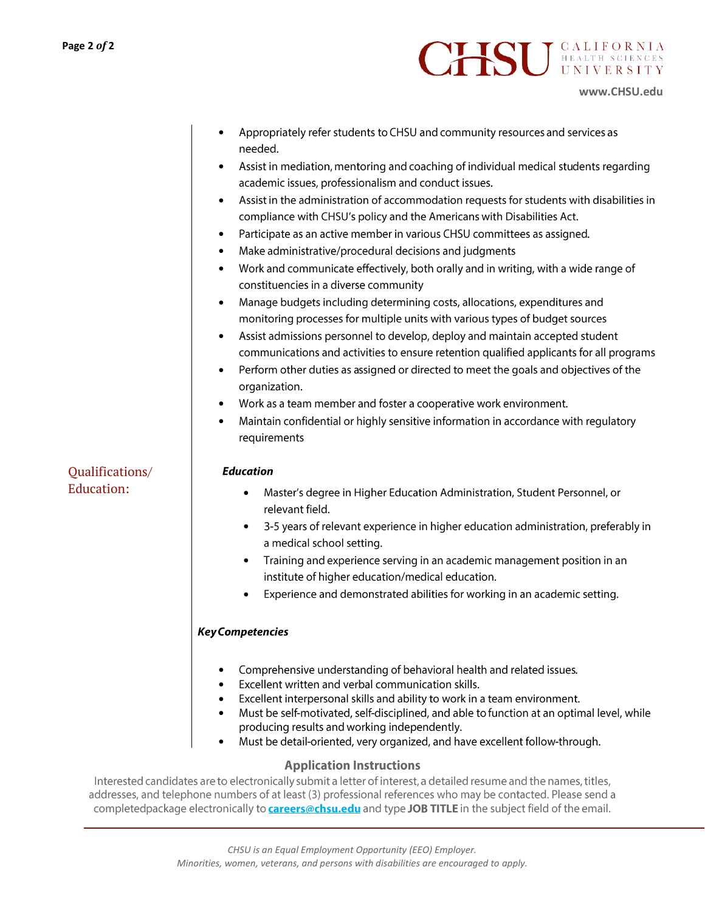**CHSU** GALIFORNIA

**[www.CHSU.edu](http://www.chsu.edu/)**

- Appropriately refer students to CHSU and community resources and services as • needed.
- Assist in mediation, mentoring and coaching of individual medical students regarding academic issues, professionalism and conduct issues.
- Assist in the administration of accommodation requests for students with disabilities in compliance with CHSU's policy and the Americans with Disabilities Act.
- Participate as an active member in various CHSU committees as assigned.
- Make administrative/procedural decisions and judgments •
- Work and communicate effectively, both orally and in writing, with a wide range of • constituencies in a diverse community
- Manage budgets including determining costs, allocations, expenditures and • monitoring processes for multiple units with various types of budget sources
- Assist admissions personnel to develop, deploy and maintain accepted student • communications and activities to ensure retention qualified applicants for all programs
- Perform other duties as assigned or directed to meet the goals and objectives of the • organization.
- Work as a team member and foster a cooperative work environment.
- Maintain confidential or highly sensitive information in accordance with regulatory • requirements

## **Education**

- Master's degree in Higher Education Administration, Student Personnel, or relevant field.
- 3-5 years of relevant experience in higher education administration, preferably in • a medical school setting.
- Training and experience serving in an academic management position in an institute of higher education/medical education.
- Experience and demonstrated abilities for working in an academic setting.

## **Key Competencies**

- Comprehensive understanding of behavioral health and related issues.
- Excellent written and verbal communication skills. •
- Excellent interpersonal skills and ability to work in a team environment.
- Must be self-motivated, self-disciplined, and able to function at an optimal level, while • producing results and working independently.
- •Must be detail-oriented, very organized, and have excellent follow-through.

## **Application Instructions**

Interested candidates are to electronically submit a letter of interest, a detailed resume and the names, titles, addresses, and telephone numbers of at least (3) professional references who may be contacted. Please send a completedpackage electronically to careers@chsu.edu and type JOB TITLE in the subject field of the email.

# Qualifications/ Education: